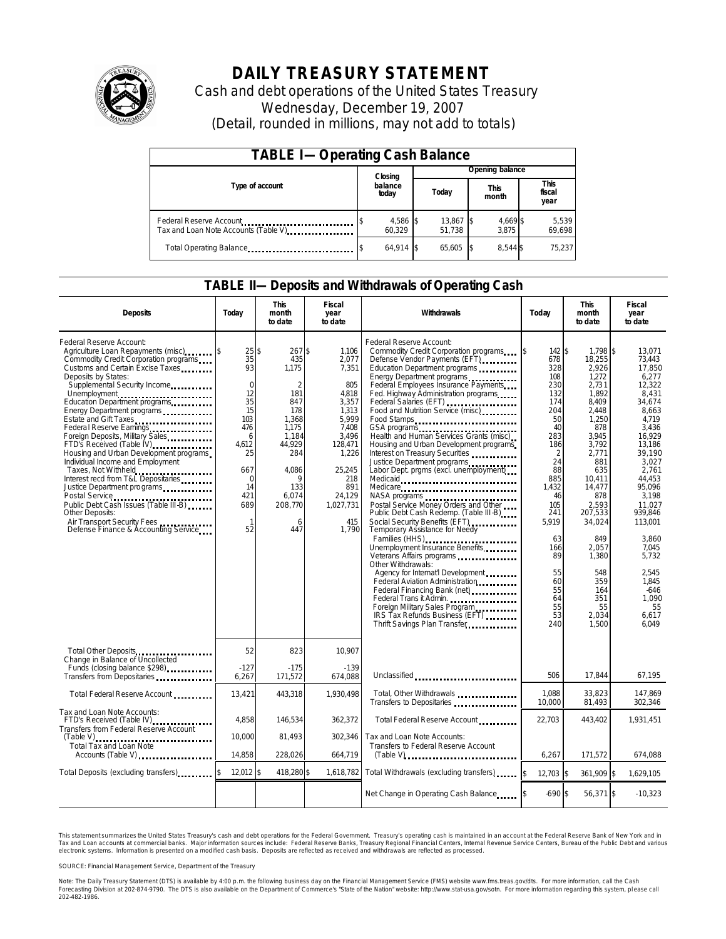

# **DAILY TREASURY STATEMENT**

Cash and debt operations of the United States Treasury Wednesday, December 19, 2007 (Detail, rounded in millions, may not add to totals)

| <b>TABLE I-Operating Cash Balance</b>                            |  |                    |  |                     |  |                      |  |                               |  |
|------------------------------------------------------------------|--|--------------------|--|---------------------|--|----------------------|--|-------------------------------|--|
|                                                                  |  | Closing            |  | Opening balance     |  |                      |  |                               |  |
| Type of account                                                  |  | balance<br>today   |  | Today               |  | <b>This</b><br>month |  | <b>This</b><br>fiscal<br>year |  |
| Federal Reserve Account<br>Tax and Loan Note Accounts (Table V). |  | 4,586 \$<br>60.329 |  | 13,867 \$<br>51.738 |  | 4,669 \$<br>3.875    |  | 5,539<br>69,698               |  |
| Total Operating Balance                                          |  | $64.914$ \\$       |  | 65.605              |  | 8.544 \$             |  | 75.237                        |  |

### **TABLE II—Deposits and Withdrawals of Operating Cash**

| <b>Deposits</b>                                                                                                                                                                                                                                                                                                                                                                                                                                                                                                                                                                                                                                                                                                       | Today                                                                                                                                                       | <b>This</b><br>month<br>to date                                                                                                                                                | Fiscal<br>year<br>to date                                                                                                                                               | Withdrawals                                                                                                                                                                                                                                                                                                                                                                                                                                                                                                                                                                                                                                                                                                                                                                                                                                                                                                                                                                                                       | Today                                                                                                                                                                                                                    | <b>This</b><br>month<br>to date                                                                                                                                                                                                                                         | Fiscal<br>year<br>to date                                                                                                                                                                                                                                                                        |
|-----------------------------------------------------------------------------------------------------------------------------------------------------------------------------------------------------------------------------------------------------------------------------------------------------------------------------------------------------------------------------------------------------------------------------------------------------------------------------------------------------------------------------------------------------------------------------------------------------------------------------------------------------------------------------------------------------------------------|-------------------------------------------------------------------------------------------------------------------------------------------------------------|--------------------------------------------------------------------------------------------------------------------------------------------------------------------------------|-------------------------------------------------------------------------------------------------------------------------------------------------------------------------|-------------------------------------------------------------------------------------------------------------------------------------------------------------------------------------------------------------------------------------------------------------------------------------------------------------------------------------------------------------------------------------------------------------------------------------------------------------------------------------------------------------------------------------------------------------------------------------------------------------------------------------------------------------------------------------------------------------------------------------------------------------------------------------------------------------------------------------------------------------------------------------------------------------------------------------------------------------------------------------------------------------------|--------------------------------------------------------------------------------------------------------------------------------------------------------------------------------------------------------------------------|-------------------------------------------------------------------------------------------------------------------------------------------------------------------------------------------------------------------------------------------------------------------------|--------------------------------------------------------------------------------------------------------------------------------------------------------------------------------------------------------------------------------------------------------------------------------------------------|
| Federal Reserve Account:<br>Agriculture Loan Repayments (misc)<br>Commodity Credit Corporation programs<br>Customs and Certain Excise Taxes<br>Deposits by States:<br>Supplemental Security Income<br>Unemployment<br>Education Department programs<br>Energy Department programs<br>Estate and Gift Taxes<br>Federal Reserve Earnings<br>Foreign Deposits, Military Sales<br>FTD's Received (Table IV)<br>Housing and Urban Development programs<br>Individual Income and Employment<br>Taxes, Not Withheld<br>Interest recd from T&L Depositaries<br>Justice Department programs<br>Public Debt Cash Issues (Table III B)<br>Other Deposits:<br>Air Transport Security Fees<br>Defense Finance & Accounting Service | 25<br>35<br>93<br>$\mathbf 0$<br>12<br>$3\overline{5}$<br>15<br>103<br>476<br>6<br>4,612<br>25<br>667<br>$\Omega$<br>14<br>421<br>689<br>$\mathbf{1}$<br>52 | $\mathsf{\$}$<br>267\$<br>435<br>1,175<br>$\overline{2}$<br>181<br>847<br>178<br>1.368<br>1,175<br>1.184<br>44,929<br>284<br>4.086<br>9<br>133<br>6,074<br>208,770<br>6<br>447 | 1,106<br>2,077<br>7,351<br>805<br>4,818<br>3,357<br>1,313<br>5.999<br>7,408<br>3.496<br>128,471<br>1,226<br>25.245<br>218<br>891<br>24,129<br>1,027,731<br>415<br>1,790 | Federal Reserve Account:<br>Commodity Credit Corporation programs<br>Defense Vendor Payments (EFT)<br>Education Department programs<br>Energy Department programs<br>Federal Employees Insurance Payments<br>Fed. Highway Administration programs<br>Federal Salaries (EFT)<br>Food and Nutrition Service (misc)<br>Food Stamps<br>GSA programs<br>Health and Human Services Grants (misc)<br>Housing and Urban Development programs<br>Interest on Treasury Securities<br>Justice Department programs<br>Labor Dept. prgms (excl. unemployment)<br>Medicaid<br>Medicare<br>Postal Service Money Orders and Other<br>Public Debt Cash Redemp. (Table III B)<br>Social Security Benefits (EFT)<br>Temporary Assistance for Needy<br>Families (HHS)<br>Unemployment Insurance Benefits<br>Other Withdrawals:<br>Agency for Internat'l Development<br>Federal Aviation Administration<br>Federal Trans it Admin.<br>Foreign Military Sales Program<br>IRS Tax Refunds Business (EFT)<br>Thrift Savings Plan Transfer | 142S<br>678<br>328<br>108<br>230<br>132<br>174<br>204<br>50<br>40<br>283<br>186<br>$\overline{2}$<br>24<br>88<br>885<br>1,432<br>46<br>105<br>241<br>5,919<br>63<br>166<br>89<br>55<br>60<br>55<br>64<br>55<br>53<br>240 | 1.798 \$<br>18,255<br>2,926<br>1.272<br>2,731<br>1,892<br>8,409<br>2,448<br>1.250<br>878<br>3.945<br>3,792<br>2.771<br>881<br>635<br>10.411<br>14,477<br>878<br>2,593<br>207,533<br>34,024<br>849<br>2.057<br>1,380<br>548<br>359<br>164<br>351<br>55<br>2,034<br>1,500 | 13,071<br>73.443<br>17.850<br>6.277<br>12,322<br>8.431<br>34,674<br>8,663<br>4.719<br>3,436<br>16.929<br>13,186<br>39.190<br>3.027<br>2.761<br>44.453<br>95,096<br>3.198<br>11,027<br>939.846<br>113,001<br>3.860<br>7,045<br>5.732<br>2.545<br>1.845<br>$-646$<br>1,090<br>55<br>6,617<br>6,049 |
| Total Other Deposits<br>Change in Balance of Uncollected                                                                                                                                                                                                                                                                                                                                                                                                                                                                                                                                                                                                                                                              | 52<br>$-127$                                                                                                                                                | 823<br>$-175$                                                                                                                                                                  | 10,907<br>$-139$                                                                                                                                                        |                                                                                                                                                                                                                                                                                                                                                                                                                                                                                                                                                                                                                                                                                                                                                                                                                                                                                                                                                                                                                   | 506                                                                                                                                                                                                                      | 17.844                                                                                                                                                                                                                                                                  |                                                                                                                                                                                                                                                                                                  |
| Transfers from Depositaries                                                                                                                                                                                                                                                                                                                                                                                                                                                                                                                                                                                                                                                                                           | 6,267                                                                                                                                                       | 171,572                                                                                                                                                                        | 674,088                                                                                                                                                                 | Unclassified                                                                                                                                                                                                                                                                                                                                                                                                                                                                                                                                                                                                                                                                                                                                                                                                                                                                                                                                                                                                      | 1,088                                                                                                                                                                                                                    | 33,823                                                                                                                                                                                                                                                                  | 67,195<br>147,869                                                                                                                                                                                                                                                                                |
| Total Federal Reserve Account                                                                                                                                                                                                                                                                                                                                                                                                                                                                                                                                                                                                                                                                                         | 13,421                                                                                                                                                      | 443,318                                                                                                                                                                        | 1.930.498                                                                                                                                                               | Total, Other Withdrawals<br>Transfers to Depositaries                                                                                                                                                                                                                                                                                                                                                                                                                                                                                                                                                                                                                                                                                                                                                                                                                                                                                                                                                             | 10,000                                                                                                                                                                                                                   | 81,493                                                                                                                                                                                                                                                                  | 302,346                                                                                                                                                                                                                                                                                          |
| Tax and Loan Note Accounts:<br>FTD's Received (Table IV)<br>Transfers from Federal Reserve Account                                                                                                                                                                                                                                                                                                                                                                                                                                                                                                                                                                                                                    | 4.858                                                                                                                                                       | 146.534                                                                                                                                                                        | 362.372                                                                                                                                                                 | Total Federal Reserve Account                                                                                                                                                                                                                                                                                                                                                                                                                                                                                                                                                                                                                                                                                                                                                                                                                                                                                                                                                                                     | 22.703                                                                                                                                                                                                                   | 443.402                                                                                                                                                                                                                                                                 | 1.931.451                                                                                                                                                                                                                                                                                        |
| $(Table V)$<br>Total Tax and Loan Note<br>Accounts (Table V)                                                                                                                                                                                                                                                                                                                                                                                                                                                                                                                                                                                                                                                          | 10,000<br>14,858                                                                                                                                            | 81,493<br>228,026                                                                                                                                                              | 302,346<br>664,719                                                                                                                                                      | Tax and Loan Note Accounts:<br>Transfers to Federal Reserve Account                                                                                                                                                                                                                                                                                                                                                                                                                                                                                                                                                                                                                                                                                                                                                                                                                                                                                                                                               | 6,267                                                                                                                                                                                                                    | 171,572                                                                                                                                                                                                                                                                 | 674,088                                                                                                                                                                                                                                                                                          |
| Total Deposits (excluding transfers)                                                                                                                                                                                                                                                                                                                                                                                                                                                                                                                                                                                                                                                                                  | 12,012 \$                                                                                                                                                   | 418,280 \$                                                                                                                                                                     | 1,618,782                                                                                                                                                               | Total Withdrawals (excluding transfers)                                                                                                                                                                                                                                                                                                                                                                                                                                                                                                                                                                                                                                                                                                                                                                                                                                                                                                                                                                           | 12,703 \$<br><sup>\$</sup>                                                                                                                                                                                               | 361,909 \$                                                                                                                                                                                                                                                              | 1,629,105                                                                                                                                                                                                                                                                                        |
|                                                                                                                                                                                                                                                                                                                                                                                                                                                                                                                                                                                                                                                                                                                       |                                                                                                                                                             |                                                                                                                                                                                |                                                                                                                                                                         | Net Change in Operating Cash Balance                                                                                                                                                                                                                                                                                                                                                                                                                                                                                                                                                                                                                                                                                                                                                                                                                                                                                                                                                                              | $-690$ \$                                                                                                                                                                                                                | 56,371 \$                                                                                                                                                                                                                                                               | $-10,323$                                                                                                                                                                                                                                                                                        |

This statement summarizes the United States Treasury's cash and debt operations for the Federal Government. Treasury's operating cash is maintained in an account at the Federal Reserve Bank of New York and in Tax and Loan accounts at commercial banks. Major information sources include: Federal Reserve Banks, Treasury Regional Financial Centers, Internal Revenue Service Centers, Bureau of the Public Debt and various<br>electronic s

SOURCE: Financial Management Service, Department of the Treasury

Note: The Daily Treasury Statement (DTS) is available by 4:00 p.m. the following business day on the Financial Management Service (FMS) website www.fms.treas.gov/dts. For more information, call the Cash<br>Forecasting Divisio 'S) is available by 4:00 p.m. the following business day on the Financial Management Service (FMS) website www.fms.treas.gov/dts. For more information, call the Cash<br>The DTS is also available on the Department of Commerce'